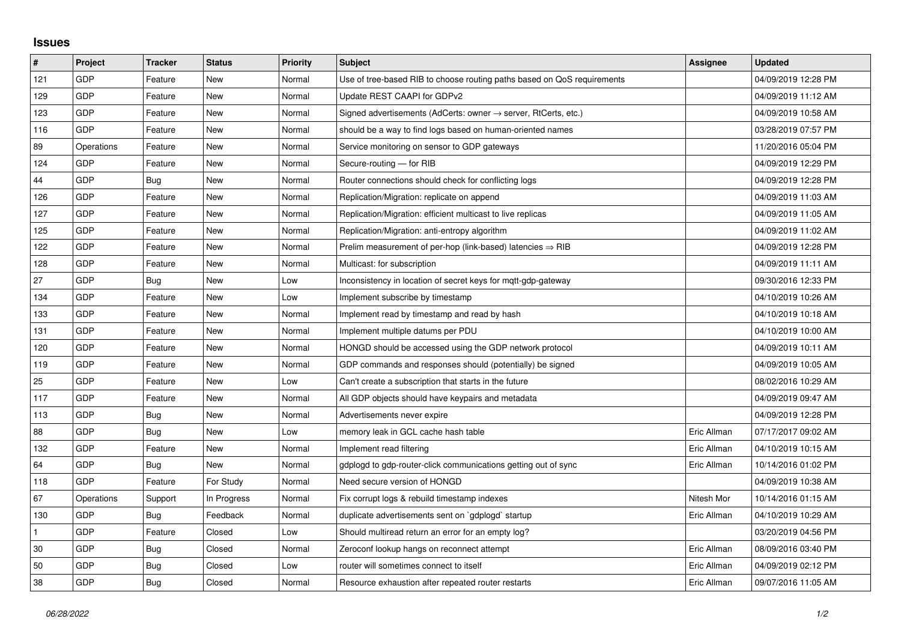## **Issues**

| #   | Project    | <b>Tracker</b> | <b>Status</b> | <b>Priority</b> | <b>Subject</b>                                                             | Assignee    | <b>Updated</b>      |
|-----|------------|----------------|---------------|-----------------|----------------------------------------------------------------------------|-------------|---------------------|
| 121 | GDP        | Feature        | New           | Normal          | Use of tree-based RIB to choose routing paths based on QoS requirements    |             | 04/09/2019 12:28 PM |
| 129 | GDP        | Feature        | <b>New</b>    | Normal          | Update REST CAAPI for GDPv2                                                |             | 04/09/2019 11:12 AM |
| 123 | GDP        | Feature        | New           | Normal          | Signed advertisements (AdCerts: owner $\rightarrow$ server, RtCerts, etc.) |             | 04/09/2019 10:58 AM |
| 116 | GDP        | Feature        | New           | Normal          | should be a way to find logs based on human-oriented names                 |             | 03/28/2019 07:57 PM |
| 89  | Operations | Feature        | <b>New</b>    | Normal          | Service monitoring on sensor to GDP gateways                               |             | 11/20/2016 05:04 PM |
| 124 | GDP        | Feature        | <b>New</b>    | Normal          | Secure-routing - for RIB                                                   |             | 04/09/2019 12:29 PM |
| 44  | GDP        | Bug            | New           | Normal          | Router connections should check for conflicting logs                       |             | 04/09/2019 12:28 PM |
| 126 | GDP        | Feature        | <b>New</b>    | Normal          | Replication/Migration: replicate on append                                 |             | 04/09/2019 11:03 AM |
| 127 | GDP        | Feature        | New           | Normal          | Replication/Migration: efficient multicast to live replicas                |             | 04/09/2019 11:05 AM |
| 125 | GDP        | Feature        | <b>New</b>    | Normal          | Replication/Migration: anti-entropy algorithm                              |             | 04/09/2019 11:02 AM |
| 122 | GDP        | Feature        | <b>New</b>    | Normal          | Prelim measurement of per-hop (link-based) latencies $\Rightarrow$ RIB     |             | 04/09/2019 12:28 PM |
| 128 | GDP        | Feature        | <b>New</b>    | Normal          | Multicast: for subscription                                                |             | 04/09/2019 11:11 AM |
| 27  | GDP        | Bug            | <b>New</b>    | Low             | Inconsistency in location of secret keys for mqtt-gdp-gateway              |             | 09/30/2016 12:33 PM |
| 134 | GDP        | Feature        | <b>New</b>    | Low             | Implement subscribe by timestamp                                           |             | 04/10/2019 10:26 AM |
| 133 | GDP        | Feature        | <b>New</b>    | Normal          | Implement read by timestamp and read by hash                               |             | 04/10/2019 10:18 AM |
| 131 | GDP        | Feature        | <b>New</b>    | Normal          | Implement multiple datums per PDU                                          |             | 04/10/2019 10:00 AM |
| 120 | GDP        | Feature        | <b>New</b>    | Normal          | HONGD should be accessed using the GDP network protocol                    |             | 04/09/2019 10:11 AM |
| 119 | GDP        | Feature        | New           | Normal          | GDP commands and responses should (potentially) be signed                  |             | 04/09/2019 10:05 AM |
| 25  | GDP        | Feature        | <b>New</b>    | Low             | Can't create a subscription that starts in the future                      |             | 08/02/2016 10:29 AM |
| 117 | GDP        | Feature        | <b>New</b>    | Normal          | All GDP objects should have keypairs and metadata                          |             | 04/09/2019 09:47 AM |
| 113 | GDP        | Bug            | New           | Normal          | Advertisements never expire                                                |             | 04/09/2019 12:28 PM |
| 88  | GDP        | <b>Bug</b>     | New           | Low             | memory leak in GCL cache hash table                                        | Eric Allman | 07/17/2017 09:02 AM |
| 132 | GDP        | Feature        | <b>New</b>    | Normal          | Implement read filtering                                                   | Eric Allman | 04/10/2019 10:15 AM |
| 64  | GDP        | Bug            | New           | Normal          | gdplogd to gdp-router-click communications getting out of sync             | Eric Allman | 10/14/2016 01:02 PM |
| 118 | GDP        | Feature        | For Study     | Normal          | Need secure version of HONGD                                               |             | 04/09/2019 10:38 AM |
| 67  | Operations | Support        | In Progress   | Normal          | Fix corrupt logs & rebuild timestamp indexes                               | Nitesh Mor  | 10/14/2016 01:15 AM |
| 130 | GDP        | <b>Bug</b>     | Feedback      | Normal          | duplicate advertisements sent on `gdplogd` startup                         | Eric Allman | 04/10/2019 10:29 AM |
| 1   | GDP        | Feature        | Closed        | Low             | Should multiread return an error for an empty log?                         |             | 03/20/2019 04:56 PM |
| 30  | GDP        | Bug            | Closed        | Normal          | Zeroconf lookup hangs on reconnect attempt                                 | Eric Allman | 08/09/2016 03:40 PM |
| 50  | GDP        | <b>Bug</b>     | Closed        | Low             | router will sometimes connect to itself                                    | Eric Allman | 04/09/2019 02:12 PM |
| 38  | GDP        | <b>Bug</b>     | Closed        | Normal          | Resource exhaustion after repeated router restarts                         | Eric Allman | 09/07/2016 11:05 AM |